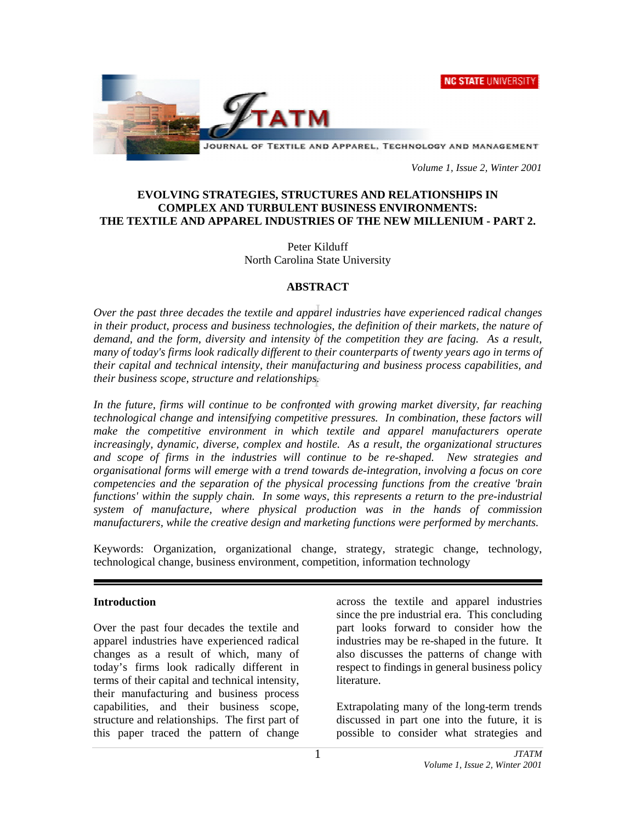**NC STATE UNIVERSITY** 



 *Volume 1, Issue 2, Winter 2001* 

### **EVOLVING STRATEGIES, STRUCTURES AND RELATIONSHIPS IN COMPLEX AND TURBULENT BUSINESS ENVIRONMENTS: THE TEXTILE AND APPAREL INDUSTRIES OF THE NEW MILLENIUM - PART 2.**

Peter Kilduff North Carolina State University

### **ABSTRACT**

*Over the past three decades the textile and apparel industries have experienced radical changes in their product, process and business technologies, the definition of their markets, the nature of demand, and the form, diversity and intensity of the competition they are facing. As a result, many of today's firms look radically different to their counterparts of twenty years ago in terms of their capital and technical intensity, their manufacturing and business process capabilities, and their business scope, structure and relationships.* 

In the future, firms will continue to be confronted with growing market diversity, far reaching *technological change and intensifying competitive pressures. In combination, these factors will make the competitive environment in which textile and apparel manufacturers operate increasingly, dynamic, diverse, complex and hostile. As a result, the organizational structures and scope of firms in the industries will continue to be re-shaped. New strategies and organisational forms will emerge with a trend towards de-integration, involving a focus on core competencies and the separation of the physical processing functions from the creative 'brain functions' within the supply chain. In some ways, this represents a return to the pre-industrial system of manufacture, where physical production was in the hands of commission manufacturers, while the creative design and marketing functions were performed by merchants.* 

Keywords: Organization, organizational change, strategy, strategic change, technology, technological change, business environment, competition, information technology

### **Introduction**

Over the past four decades the textile and apparel industries have experienced radical changes as a result of which, many of today's firms look radically different in terms of their capital and technical intensity, their manufacturing and business process capabilities, and their business scope, structure and relationships. The first part of this paper traced the pattern of change

across the textile and apparel industries since the pre industrial era. This concluding part looks forward to consider how the industries may be re-shaped in the future. It also discusses the patterns of change with respect to findings in general business policy literature.

Extrapolating many of the long-term trends discussed in part one into the future, it is possible to consider what strategies and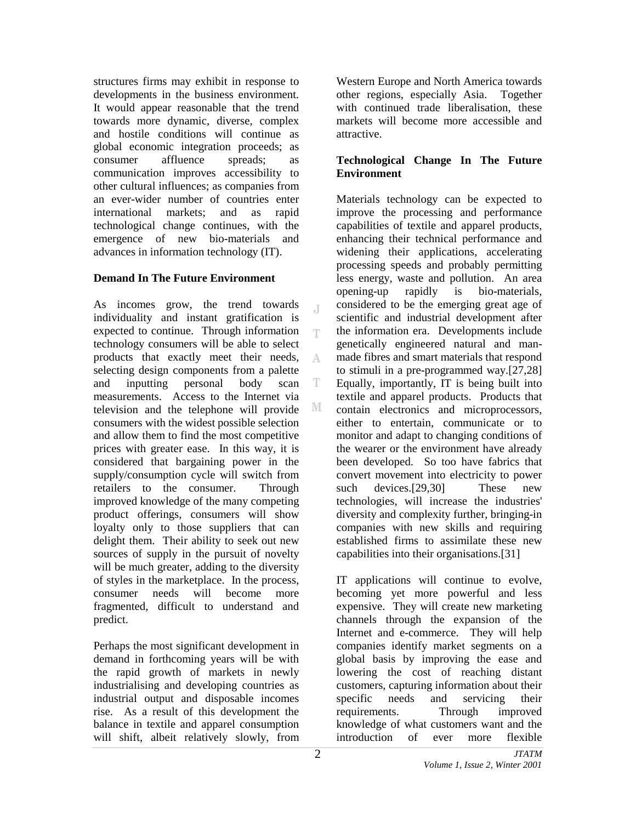structures firms may exhibit in response to developments in the business environment. It would appear reasonable that the trend towards more dynamic, diverse, complex and hostile conditions will continue as global economic integration proceeds; as consumer affluence spreads; as communication improves accessibility to other cultural influences; as companies from an ever-wider number of countries enter international markets; and as rapid technological change continues, with the emergence of new bio-materials and advances in information technology (IT).

### **Demand In The Future Environment**

As incomes grow, the trend towards  $\mathbb{I}$ individuality and instant gratification is expected to continue. Through information T technology consumers will be able to select products that exactly meet their needs, A selecting design components from a palette and inputting personal body scan T measurements. Access to the Internet via М television and the telephone will provide consumers with the widest possible selection and allow them to find the most competitive prices with greater ease. In this way, it is considered that bargaining power in the supply/consumption cycle will switch from retailers to the consumer. Through improved knowledge of the many competing product offerings, consumers will show loyalty only to those suppliers that can delight them. Their ability to seek out new sources of supply in the pursuit of novelty will be much greater, adding to the diversity of styles in the marketplace. In the process, consumer needs will become more fragmented, difficult to understand and predict.

Perhaps the most significant development in demand in forthcoming years will be with the rapid growth of markets in newly industrialising and developing countries as industrial output and disposable incomes rise. As a result of this development the balance in textile and apparel consumption will shift, albeit relatively slowly, from

Western Europe and North America towards other regions, especially Asia. Together with continued trade liberalisation, these markets will become more accessible and attractive.

### **Technological Change In The Future Environment**

Materials technology can be expected to improve the processing and performance capabilities of textile and apparel products, enhancing their technical performance and widening their applications, accelerating processing speeds and probably permitting less energy, waste and pollution. An area opening-up rapidly is bio-materials, considered to be the emerging great age of scientific and industrial development after the information era. Developments include genetically engineered natural and manmade fibres and smart materials that respond to stimuli in a pre-programmed way.[27,28] Equally, importantly, IT is being built into textile and apparel products. Products that contain electronics and microprocessors, either to entertain, communicate or to monitor and adapt to changing conditions of the wearer or the environment have already been developed. So too have fabrics that convert movement into electricity to power such devices.<sup>[29,30]</sup> These new technologies, will increase the industries' diversity and complexity further, bringing-in companies with new skills and requiring established firms to assimilate these new capabilities into their organisations.[31]

IT applications will continue to evolve, becoming yet more powerful and less expensive. They will create new marketing channels through the expansion of the Internet and e-commerce. They will help companies identify market segments on a global basis by improving the ease and lowering the cost of reaching distant customers, capturing information about their specific needs and servicing their requirements. Through improved knowledge of what customers want and the introduction of ever more flexible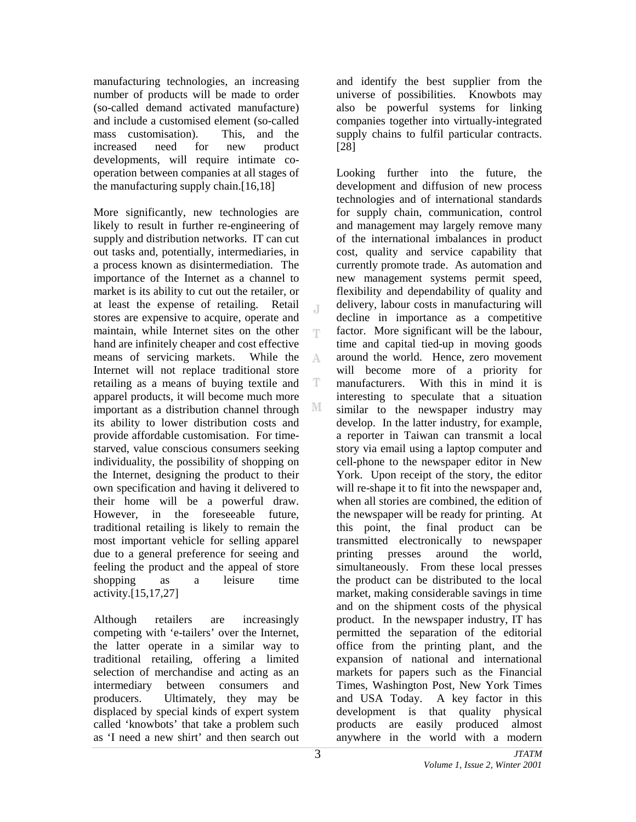manufacturing technologies, an increasing number of products will be made to order (so-called demand activated manufacture) and include a customised element (so-called mass customisation). This, and the increased need for new product developments, will require intimate cooperation between companies at all stages of the manufacturing supply chain.[16,18]

More significantly, new technologies are likely to result in further re-engineering of supply and distribution networks. IT can cut out tasks and, potentially, intermediaries, in a process known as disintermediation. The importance of the Internet as a channel to market is its ability to cut out the retailer, or at least the expense of retailing. Retail stores are expensive to acquire, operate and maintain, while Internet sites on the other T hand are infinitely cheaper and cost effective means of servicing markets. While the A Internet will not replace traditional store retailing as a means of buying textile and T apparel products, it will become much more important as a distribution channel through M its ability to lower distribution costs and provide affordable customisation. For timestarved, value conscious consumers seeking individuality, the possibility of shopping on the Internet, designing the product to their own specification and having it delivered to their home will be a powerful draw. However, in the foreseeable future, traditional retailing is likely to remain the most important vehicle for selling apparel due to a general preference for seeing and feeling the product and the appeal of store shopping as a leisure time activity.[15,17,27]

Although retailers are increasingly competing with 'e-tailers' over the Internet, the latter operate in a similar way to traditional retailing, offering a limited selection of merchandise and acting as an intermediary between consumers and producers. Ultimately, they may be displaced by special kinds of expert system called 'knowbots' that take a problem such as 'I need a new shirt' and then search out

and identify the best supplier from the universe of possibilities. Knowbots may also be powerful systems for linking companies together into virtually-integrated supply chains to fulfil particular contracts. [28]

Looking further into the future, the development and diffusion of new process technologies and of international standards for supply chain, communication, control and management may largely remove many of the international imbalances in product cost, quality and service capability that currently promote trade. As automation and new management systems permit speed, flexibility and dependability of quality and delivery, labour costs in manufacturing will decline in importance as a competitive factor. More significant will be the labour, time and capital tied-up in moving goods around the world. Hence, zero movement will become more of a priority for manufacturers. With this in mind it is interesting to speculate that a situation similar to the newspaper industry may develop. In the latter industry, for example, a reporter in Taiwan can transmit a local story via email using a laptop computer and cell-phone to the newspaper editor in New York. Upon receipt of the story, the editor will re-shape it to fit into the newspaper and, when all stories are combined, the edition of the newspaper will be ready for printing. At this point, the final product can be transmitted electronically to newspaper printing presses around the world, simultaneously. From these local presses the product can be distributed to the local market, making considerable savings in time and on the shipment costs of the physical product. In the newspaper industry, IT has permitted the separation of the editorial office from the printing plant, and the expansion of national and international markets for papers such as the Financial Times, Washington Post, New York Times and USA Today. A key factor in this development is that quality physical products are easily produced almost anywhere in the world with a modern

J.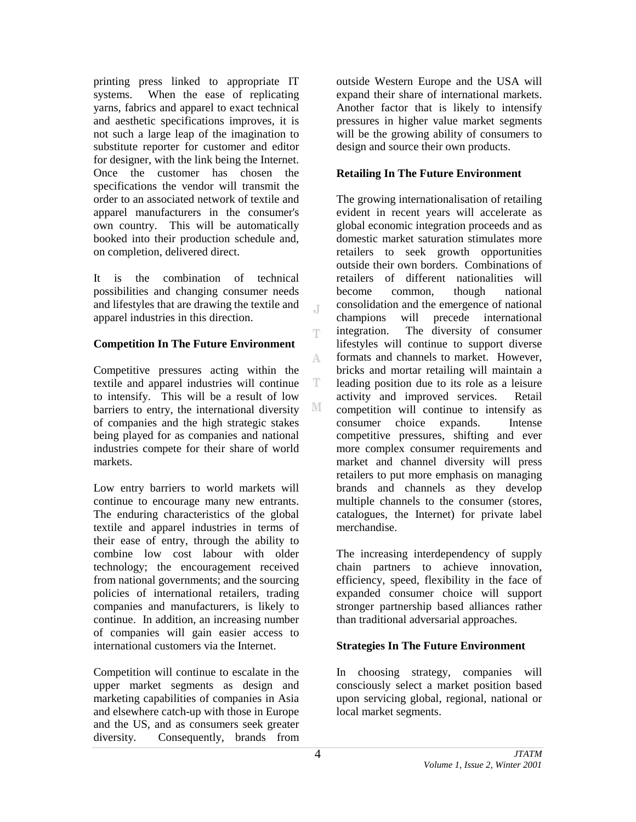printing press linked to appropriate IT systems. When the ease of replicating yarns, fabrics and apparel to exact technical and aesthetic specifications improves, it is not such a large leap of the imagination to substitute reporter for customer and editor for designer, with the link being the Internet. Once the customer has chosen the specifications the vendor will transmit the order to an associated network of textile and apparel manufacturers in the consumer's own country. This will be automatically booked into their production schedule and, on completion, delivered direct.

It is the combination of technical possibilities and changing consumer needs and lifestyles that are drawing the textile and apparel industries in this direction.

## **Competition In The Future Environment**

Competitive pressures acting within the textile and apparel industries will continue to intensify. This will be a result of low barriers to entry, the international diversity of companies and the high strategic stakes being played for as companies and national industries compete for their share of world markets.

Low entry barriers to world markets will continue to encourage many new entrants. The enduring characteristics of the global textile and apparel industries in terms of their ease of entry, through the ability to combine low cost labour with older technology; the encouragement received from national governments; and the sourcing policies of international retailers, trading companies and manufacturers, is likely to continue. In addition, an increasing number of companies will gain easier access to international customers via the Internet.

Competition will continue to escalate in the upper market segments as design and marketing capabilities of companies in Asia and elsewhere catch-up with those in Europe and the US, and as consumers seek greater diversity. Consequently, brands from

outside Western Europe and the USA will expand their share of international markets. Another factor that is likely to intensify pressures in higher value market segments will be the growing ability of consumers to design and source their own products.

## **Retailing In The Future Environment**

The growing internationalisation of retailing evident in recent years will accelerate as global economic integration proceeds and as domestic market saturation stimulates more retailers to seek growth opportunities outside their own borders. Combinations of retailers of different nationalities will become common, though national consolidation and the emergence of national champions will precede international integration. The diversity of consumer lifestyles will continue to support diverse formats and channels to market. However, bricks and mortar retailing will maintain a leading position due to its role as a leisure activity and improved services. Retail competition will continue to intensify as consumer choice expands. Intense competitive pressures, shifting and ever more complex consumer requirements and market and channel diversity will press retailers to put more emphasis on managing brands and channels as they develop multiple channels to the consumer (stores, catalogues, the Internet) for private label merchandise.

The increasing interdependency of supply chain partners to achieve innovation, efficiency, speed, flexibility in the face of expanded consumer choice will support stronger partnership based alliances rather than traditional adversarial approaches.

# **Strategies In The Future Environment**

In choosing strategy, companies will consciously select a market position based upon servicing global, regional, national or local market segments.

 $\overline{A}$ 

T

A

T

М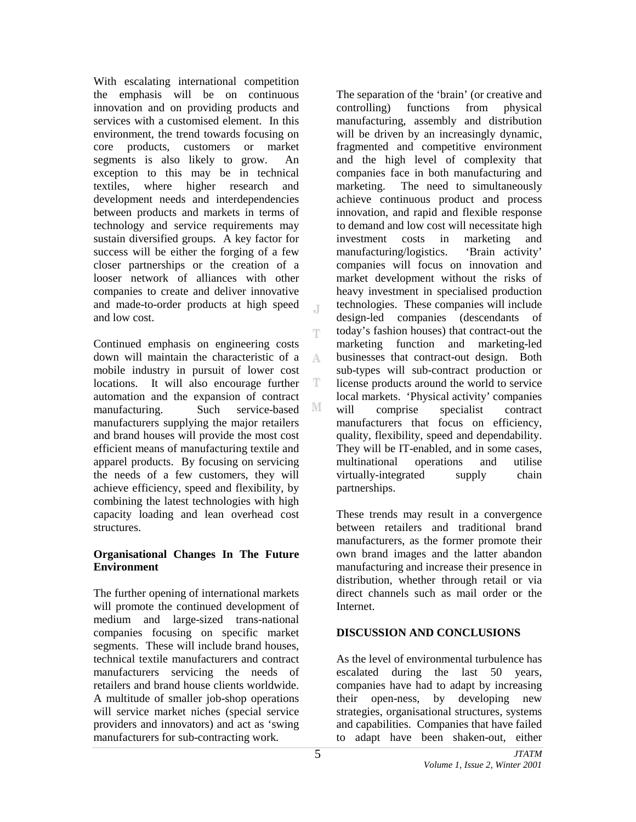With escalating international competition the emphasis will be on continuous innovation and on providing products and services with a customised element. In this environment, the trend towards focusing on core products, customers or market segments is also likely to grow. An exception to this may be in technical textiles, where higher research and development needs and interdependencies between products and markets in terms of technology and service requirements may sustain diversified groups. A key factor for success will be either the forging of a few closer partnerships or the creation of a looser network of alliances with other companies to create and deliver innovative and made-to-order products at high speed and low cost.

Continued emphasis on engineering costs down will maintain the characteristic of a A mobile industry in pursuit of lower cost locations. It will also encourage further T automation and the expansion of contract M manufacturing. Such service-based manufacturers supplying the major retailers and brand houses will provide the most cost efficient means of manufacturing textile and apparel products. By focusing on servicing the needs of a few customers, they will achieve efficiency, speed and flexibility, by combining the latest technologies with high capacity loading and lean overhead cost structures.

## **Organisational Changes In The Future Environment**

The further opening of international markets will promote the continued development of medium and large-sized trans-national companies focusing on specific market segments. These will include brand houses, technical textile manufacturers and contract manufacturers servicing the needs of retailers and brand house clients worldwide. A multitude of smaller job-shop operations will service market niches (special service providers and innovators) and act as 'swing manufacturers for sub-contracting work.

The separation of the 'brain' (or creative and controlling) functions from physical manufacturing, assembly and distribution will be driven by an increasingly dynamic. fragmented and competitive environment and the high level of complexity that companies face in both manufacturing and marketing. The need to simultaneously achieve continuous product and process innovation, and rapid and flexible response to demand and low cost will necessitate high investment costs in marketing and manufacturing/logistics. 'Brain activity' companies will focus on innovation and market development without the risks of heavy investment in specialised production technologies. These companies will include design-led companies (descendants of today's fashion houses) that contract-out the marketing function and marketing-led businesses that contract-out design. Both sub-types will sub-contract production or license products around the world to service local markets. 'Physical activity' companies will comprise specialist contract manufacturers that focus on efficiency, quality, flexibility, speed and dependability. They will be IT-enabled, and in some cases, multinational operations and utilise virtually-integrated supply chain partnerships.

These trends may result in a convergence between retailers and traditional brand manufacturers, as the former promote their own brand images and the latter abandon manufacturing and increase their presence in distribution, whether through retail or via direct channels such as mail order or the Internet.

# **DISCUSSION AND CONCLUSIONS**

As the level of environmental turbulence has escalated during the last 50 years, companies have had to adapt by increasing their open-ness, by developing new strategies, organisational structures, systems and capabilities. Companies that have failed to adapt have been shaken-out, either

J.

Ŧ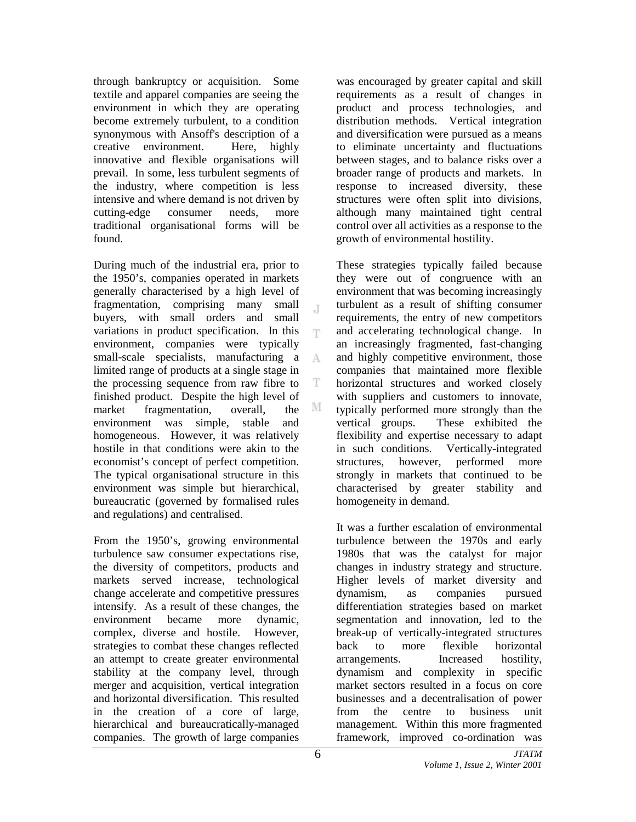through bankruptcy or acquisition. Some textile and apparel companies are seeing the environment in which they are operating become extremely turbulent, to a condition synonymous with Ansoff's description of a creative environment. Here, highly innovative and flexible organisations will prevail. In some, less turbulent segments of the industry, where competition is less intensive and where demand is not driven by cutting-edge consumer needs, more traditional organisational forms will be found.

During much of the industrial era, prior to the 1950's, companies operated in markets generally characterised by a high level of fragmentation, comprising many small buyers, with small orders and small variations in product specification. In this T environment, companies were typically small-scale specialists, manufacturing a  $\mathbb{A}$ limited range of products at a single stage in the processing sequence from raw fibre to T finished product. Despite the high level of M market fragmentation, overall, the environment was simple, stable and homogeneous. However, it was relatively hostile in that conditions were akin to the economist's concept of perfect competition. The typical organisational structure in this environment was simple but hierarchical, bureaucratic (governed by formalised rules and regulations) and centralised.

From the 1950's, growing environmental turbulence saw consumer expectations rise, the diversity of competitors, products and markets served increase, technological change accelerate and competitive pressures intensify. As a result of these changes, the environment became more dynamic, complex, diverse and hostile. However, strategies to combat these changes reflected an attempt to create greater environmental stability at the company level, through merger and acquisition, vertical integration and horizontal diversification. This resulted in the creation of a core of large, hierarchical and bureaucratically-managed companies. The growth of large companies

was encouraged by greater capital and skill requirements as a result of changes in product and process technologies, and distribution methods. Vertical integration and diversification were pursued as a means to eliminate uncertainty and fluctuations between stages, and to balance risks over a broader range of products and markets. In response to increased diversity, these structures were often split into divisions, although many maintained tight central control over all activities as a response to the growth of environmental hostility.

These strategies typically failed because they were out of congruence with an environment that was becoming increasingly turbulent as a result of shifting consumer requirements, the entry of new competitors and accelerating technological change. In an increasingly fragmented, fast-changing and highly competitive environment, those companies that maintained more flexible horizontal structures and worked closely with suppliers and customers to innovate, typically performed more strongly than the vertical groups. These exhibited the flexibility and expertise necessary to adapt in such conditions. Vertically-integrated structures, however, performed more strongly in markets that continued to be characterised by greater stability and homogeneity in demand.

It was a further escalation of environmental turbulence between the 1970s and early 1980s that was the catalyst for major changes in industry strategy and structure. Higher levels of market diversity and dynamism, as companies pursued differentiation strategies based on market segmentation and innovation, led to the break-up of vertically-integrated structures back to more flexible horizontal arrangements. Increased hostility, dynamism and complexity in specific market sectors resulted in a focus on core businesses and a decentralisation of power from the centre to business unit management. Within this more fragmented framework, improved co-ordination was

J.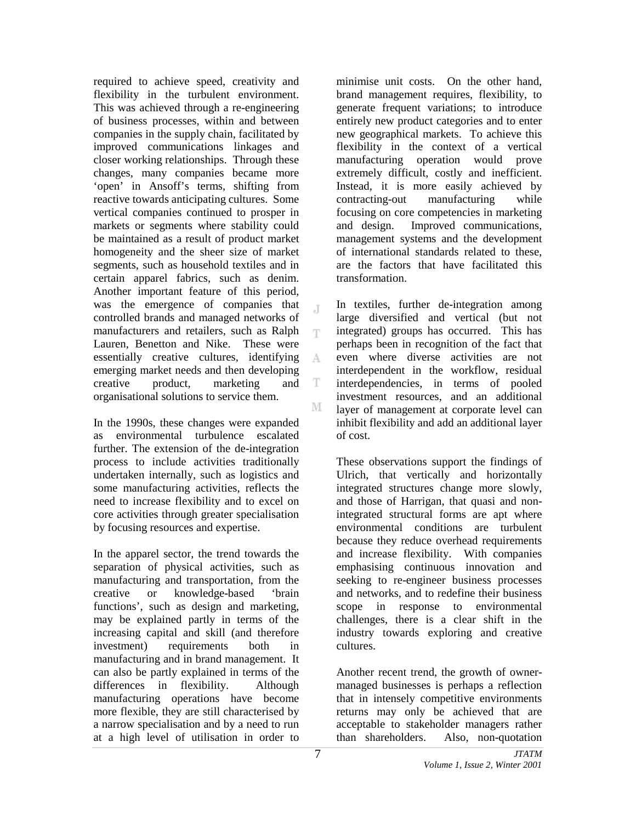required to achieve speed, creativity and flexibility in the turbulent environment. This was achieved through a re-engineering of business processes, within and between companies in the supply chain, facilitated by improved communications linkages and closer working relationships. Through these changes, many companies became more 'open' in Ansoff's terms, shifting from reactive towards anticipating cultures. Some vertical companies continued to prosper in markets or segments where stability could be maintained as a result of product market homogeneity and the sheer size of market segments, such as household textiles and in certain apparel fabrics, such as denim. Another important feature of this period, was the emergence of companies that controlled brands and managed networks of manufacturers and retailers, such as Ralph Lauren, Benetton and Nike. These were essentially creative cultures, identifying  $\mathbf{A}$ emerging market needs and then developing creative product, marketing and T organisational solutions to service them. M

In the 1990s, these changes were expanded as environmental turbulence escalated further. The extension of the de-integration process to include activities traditionally undertaken internally, such as logistics and some manufacturing activities, reflects the need to increase flexibility and to excel on core activities through greater specialisation by focusing resources and expertise.

In the apparel sector, the trend towards the separation of physical activities, such as manufacturing and transportation, from the creative or knowledge-based 'brain functions', such as design and marketing, may be explained partly in terms of the increasing capital and skill (and therefore investment) requirements both in manufacturing and in brand management. It can also be partly explained in terms of the differences in flexibility. Although manufacturing operations have become more flexible, they are still characterised by a narrow specialisation and by a need to run at a high level of utilisation in order to

minimise unit costs. On the other hand, brand management requires, flexibility, to generate frequent variations; to introduce entirely new product categories and to enter new geographical markets. To achieve this flexibility in the context of a vertical manufacturing operation would prove extremely difficult, costly and inefficient. Instead, it is more easily achieved by contracting-out manufacturing while focusing on core competencies in marketing and design. Improved communications, management systems and the development of international standards related to these, are the factors that have facilitated this transformation.

In textiles, further de-integration among large diversified and vertical (but not integrated) groups has occurred. This has perhaps been in recognition of the fact that even where diverse activities are not interdependent in the workflow, residual interdependencies, in terms of pooled investment resources, and an additional layer of management at corporate level can inhibit flexibility and add an additional layer of cost.

These observations support the findings of Ulrich, that vertically and horizontally integrated structures change more slowly, and those of Harrigan, that quasi and nonintegrated structural forms are apt where environmental conditions are turbulent because they reduce overhead requirements and increase flexibility. With companies emphasising continuous innovation and seeking to re-engineer business processes and networks, and to redefine their business scope in response to environmental challenges, there is a clear shift in the industry towards exploring and creative cultures.

Another recent trend, the growth of ownermanaged businesses is perhaps a reflection that in intensely competitive environments returns may only be achieved that are acceptable to stakeholder managers rather than shareholders. Also, non-quotation

T.

T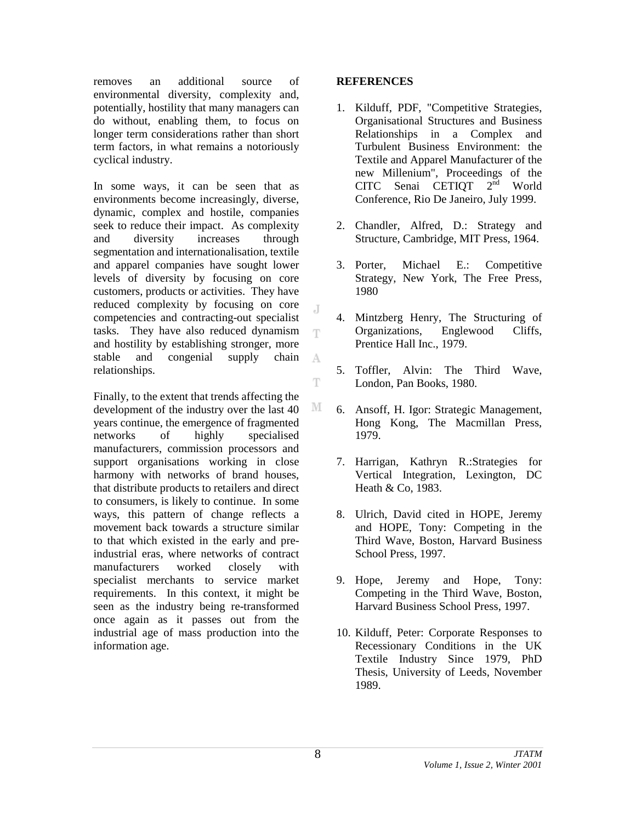removes an additional source of environmental diversity, complexity and, potentially, hostility that many managers can do without, enabling them, to focus on longer term considerations rather than short term factors, in what remains a notoriously cyclical industry.

In some ways, it can be seen that as environments become increasingly, diverse, dynamic, complex and hostile, companies seek to reduce their impact. As complexity and diversity increases through segmentation and internationalisation, textile and apparel companies have sought lower levels of diversity by focusing on core customers, products or activities. They have reduced complexity by focusing on core competencies and contracting-out specialist tasks. They have also reduced dynamism and hostility by establishing stronger, more stable and congenial supply chain relationships.

Finally, to the extent that trends affecting the development of the industry over the last 40 years continue, the emergence of fragmented networks of highly specialised manufacturers, commission processors and support organisations working in close harmony with networks of brand houses. that distribute products to retailers and direct to consumers, is likely to continue. In some ways, this pattern of change reflects a movement back towards a structure similar to that which existed in the early and preindustrial eras, where networks of contract manufacturers worked closely with specialist merchants to service market requirements. In this context, it might be seen as the industry being re-transformed once again as it passes out from the industrial age of mass production into the information age.

## **REFERENCES**

- 1. Kilduff, PDF, "Competitive Strategies, Organisational Structures and Business Relationships in a Complex and Turbulent Business Environment: the Textile and Apparel Manufacturer of the new Millenium", Proceedings of the CITC Senai CETIQT 2<sup>nd</sup> World Conference, Rio De Janeiro, July 1999.
- 2. Chandler, Alfred, D.: Strategy and Structure, Cambridge, MIT Press, 1964.
- 3. Porter, Michael E.: Competitive Strategy, New York, The Free Press, 1980
- 4. Mintzberg Henry, The Structuring of Organizations, Englewood Cliffs, Prentice Hall Inc., 1979.
- 5. Toffler, Alvin: The Third Wave, London, Pan Books, 1980.
- 6. Ansoff, H. Igor: Strategic Management, Hong Kong, The Macmillan Press, 1979.
- 7. Harrigan, Kathryn R.:Strategies for Vertical Integration, Lexington, DC Heath & Co, 1983.
- 8. Ulrich, David cited in HOPE, Jeremy and HOPE, Tony: Competing in the Third Wave, Boston, Harvard Business School Press, 1997.
- 9. Hope, Jeremy and Hope, Tony: Competing in the Third Wave, Boston, Harvard Business School Press, 1997.
- 10. Kilduff, Peter: Corporate Responses to Recessionary Conditions in the UK Textile Industry Since 1979, PhD Thesis, University of Leeds, November 1989.

J.

T

A

Ŧ

M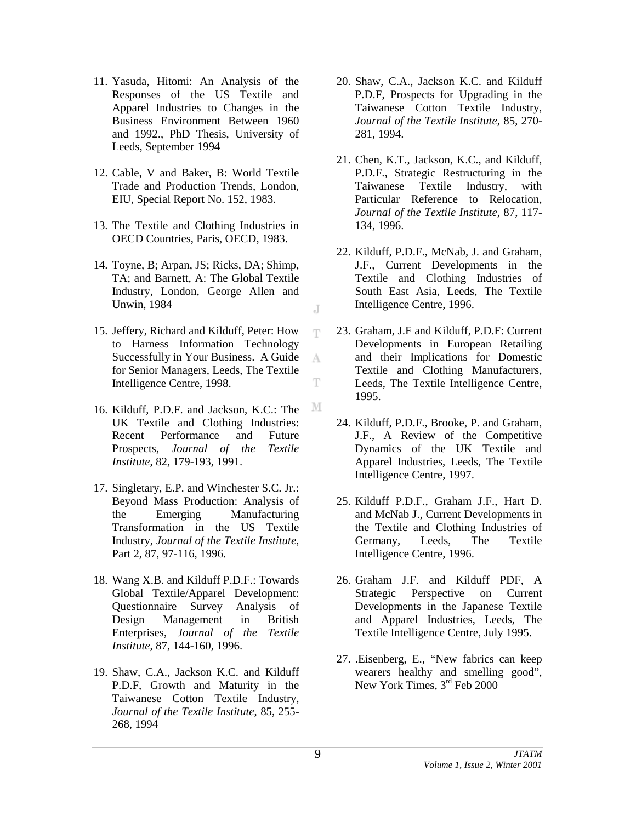- 11. Yasuda, Hitomi: An Analysis of the Responses of the US Textile and Apparel Industries to Changes in the Business Environment Between 1960 and 1992., PhD Thesis, University of Leeds, September 1994
- 12. Cable, V and Baker, B: World Textile Trade and Production Trends, London, EIU, Special Report No. 152, 1983.
- 13. The Textile and Clothing Industries in OECD Countries, Paris, OECD, 1983.
- 14. Toyne, B; Arpan, JS; Ricks, DA; Shimp, TA; and Barnett, A: The Global Textile Industry, London, George Allen and Unwin, 1984
- 15. Jeffery, Richard and Kilduff, Peter: How to Harness Information Technology Successfully in Your Business. A Guide for Senior Managers, Leeds, The Textile Intelligence Centre, 1998.
- 16. Kilduff, P.D.F. and Jackson, K.C.: The UK Textile and Clothing Industries: Recent Performance and Future Prospects, *Journal of the Textile Institute*, 82, 179-193, 1991.
- 17. Singletary, E.P. and Winchester S.C. Jr.: Beyond Mass Production: Analysis of the Emerging Manufacturing Transformation in the US Textile Industry, *Journal of the Textile Institute*, Part 2, 87, 97-116, 1996.
- 18. Wang X.B. and Kilduff P.D.F.: Towards Global Textile/Apparel Development: Questionnaire Survey Analysis of Design Management in British Enterprises, *Journal of the Textile Institute*, 87, 144-160, 1996.
- 19. Shaw, C.A., Jackson K.C. and Kilduff P.D.F, Growth and Maturity in the Taiwanese Cotton Textile Industry, *Journal of the Textile Institute*, 85, 255- 268, 1994
- 20. Shaw, C.A., Jackson K.C. and Kilduff P.D.F, Prospects for Upgrading in the Taiwanese Cotton Textile Industry, *Journal of the Textile Institute*, 85, 270- 281, 1994.
- 21. Chen, K.T., Jackson, K.C., and Kilduff, P.D.F., Strategic Restructuring in the Taiwanese Textile Industry, with Particular Reference to Relocation, *Journal of the Textile Institute*, 87, 117- 134, 1996.
- 22. Kilduff, P.D.F., McNab, J. and Graham, J.F., Current Developments in the Textile and Clothing Industries of South East Asia, Leeds, The Textile Intelligence Centre, 1996.
- 23. Graham, J.F and Kilduff, P.D.F: Current Developments in European Retailing and their Implications for Domestic Textile and Clothing Manufacturers, Leeds, The Textile Intelligence Centre, 1995.
- 24. Kilduff, P.D.F., Brooke, P. and Graham, J.F., A Review of the Competitive Dynamics of the UK Textile and Apparel Industries, Leeds, The Textile Intelligence Centre, 1997.
- 25. Kilduff P.D.F., Graham J.F., Hart D. and McNab J., Current Developments in the Textile and Clothing Industries of Germany, Leeds, The Textile Intelligence Centre, 1996.
- 26. Graham J.F. and Kilduff PDF, A Strategic Perspective on Current Developments in the Japanese Textile and Apparel Industries, Leeds, The Textile Intelligence Centre, July 1995.
- 27. .Eisenberg, E., "New fabrics can keep wearers healthy and smelling good", New York Times, 3<sup>rd</sup> Feb 2000

J

T

A

T

М